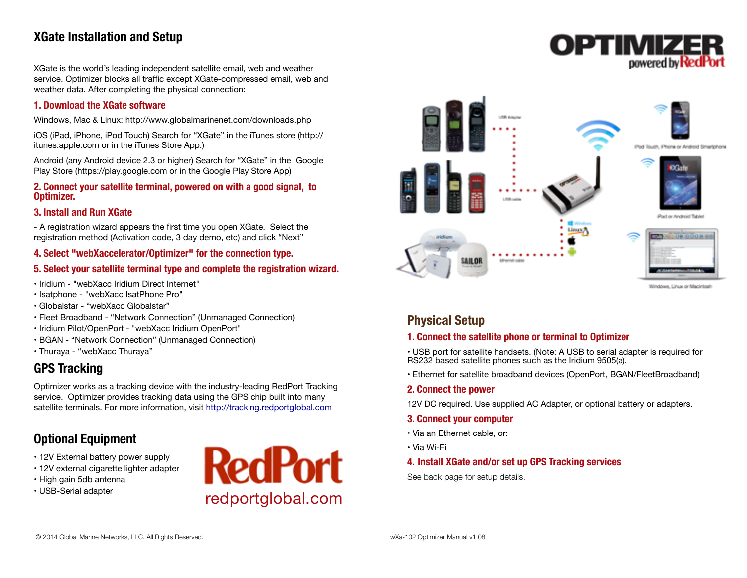# **XGate Installation and Setup**

XGate is the world's leading independent satellite email, web and weather service. Optimizer blocks all traffic except XGate-compressed email, web and weather data. After completing the physical connection:

### **1. Download the XGate software**

Windows, Mac & Linux:<http://www.globalmarinenet.com/downloads.php>

iOS (iPad, iPhone, iPod Touch) Search for "XGate" in the iTunes store (http:// itunes.apple.com or in the iTunes Store App.)

Android (any Android device 2.3 or higher) Search for "XGate" in the Google Play Store (https://play.google.com or in the Google Play Store App)

#### **2. Connect your satellite terminal, powered on with a good signal, to Optimizer.**

### **3. Install and Run XGate**

- A registration wizard appears the first time you open XGate. Select the registration method (Activation code, 3 day demo, etc) and click "Next"

## **4. Select "webXaccelerator/Optimizer" for the connection type.**

## **5. Select your satellite terminal type and complete the registration wizard.**

- Iridium "webXacc Iridium Direct Internet"
- Isatphone "webXacc IsatPhone Pro"
- Globalstar "webXacc Globalstar"
- Fleet Broadband "Network Connection" (Unmanaged Connection)
- Iridium Pilot/OpenPort "webXacc Iridium OpenPort"
- BGAN "Network Connection" (Unmanaged Connection)
- Thuraya "webXacc Thuraya"

# **GPS Tracking**

Optimizer works as a tracking device with the industry-leading RedPort Tracking service. Optimizer provides tracking data using the GPS chip built into many satellite terminals. For more information, visit<http://tracking.redportglobal.com>

# **Optional Equipment**

- 12V External battery power supply
- 12V external cigarette lighter adapter
- High gain 5db antenna
- USB-Serial adapter





OPTIMIZ

powered by

# **Physical Setup**

## **1. Connect the satellite phone or terminal to Optimizer**

• USB port for satellite handsets. (Note: A USB to serial adapter is required for RS232 based satellite phones such as the Iridium 9505(a).

• Ethernet for satellite broadband devices (OpenPort, BGAN/FleetBroadband)

#### **2. Connect the power**

12V DC required. Use supplied AC Adapter, or optional battery or adapters.

### **3. Connect your computer**

- Via an Ethernet cable, or:
- Via Wi-Fi

## **4. Install XGate and/or set up GPS Tracking services**

See back page for setup details.